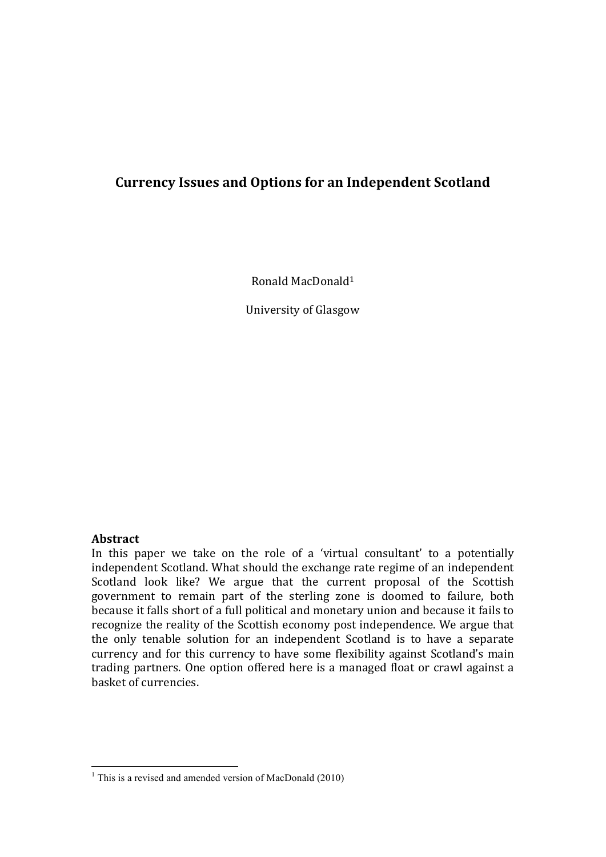# **Currency Issues and Options for an Independent Scotland**

Ronald'MacDonald1

University of Glasgow

# **Abstract**

In this paper we take on the role of a 'virtual consultant' to a potentially independent Scotland. What should the exchange rate regime of an independent Scotland look like? We argue that the current proposal of the Scottish government to remain part of the sterling zone is doomed to failure, both because it falls short of a full political and monetary union and because it fails to recognize the reality of the Scottish economy post independence. We argue that the only tenable solution for an independent Scotland is to have a separate currency and for this currency to have some flexibility against Scotland's main trading partners. One option offered here is a managed float or crawl against a basket of currencies.

 $1$  This is a revised and amended version of MacDonald (2010)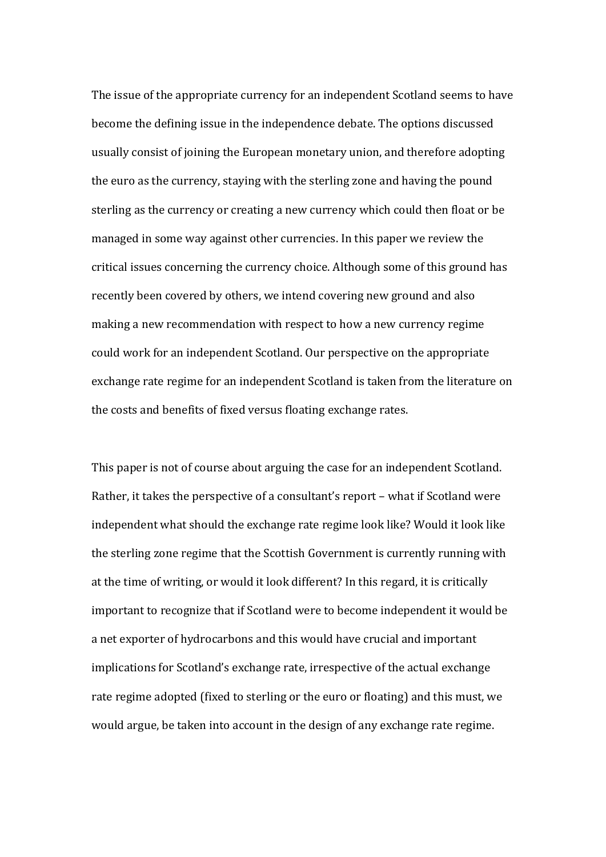The issue of the appropriate currency for an independent Scotland seems to have become the defining issue in the independence debate. The options discussed usually consist of joining the European monetary union, and therefore adopting the euro as the currency, staying with the sterling zone and having the pound sterling as the currency or creating a new currency which could then float or be managed in some way against other currencies. In this paper we review the critical issues concerning the currency choice. Although some of this ground has recently been covered by others, we intend covering new ground and also making a new recommendation with respect to how a new currency regime could work for an independent Scotland. Our perspective on the appropriate exchange rate regime for an independent Scotland is taken from the literature on the costs and benefits of fixed versus floating exchange rates.

This paper is not of course about arguing the case for an independent Scotland. Rather, it takes the perspective of a consultant's report – what if Scotland were independent what should the exchange rate regime look like? Would it look like the sterling zone regime that the Scottish Government is currently running with at the time of writing, or would it look different? In this regard, it is critically important to recognize that if Scotland were to become independent it would be a net exporter of hydrocarbons and this would have crucial and important implications for Scotland's exchange rate, irrespective of the actual exchange rate regime adopted (fixed to sterling or the euro or floating) and this must, we would argue, be taken into account in the design of any exchange rate regime.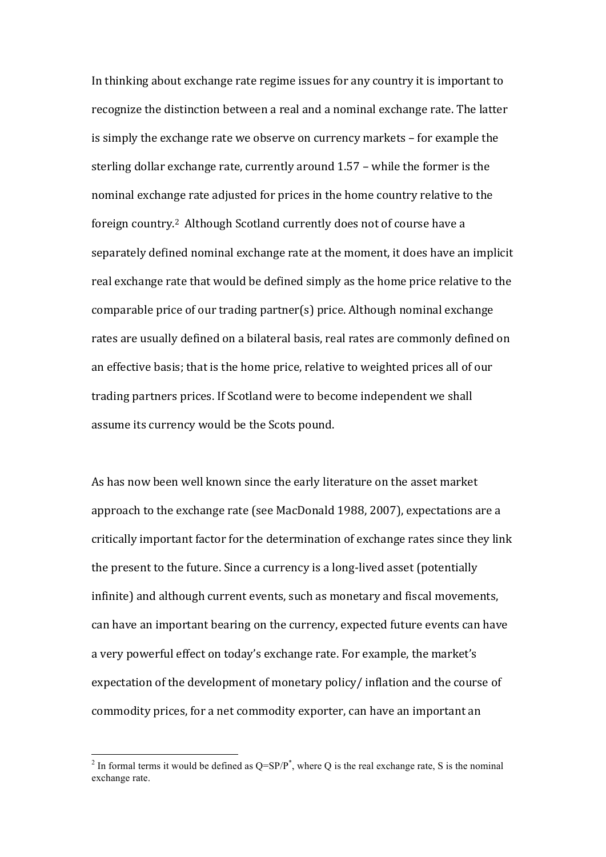In thinking about exchange rate regime issues for any country it is important to recognize the distinction between a real and a nominal exchange rate. The latter is simply the exchange rate we observe on currency markets – for example the sterling dollar exchange rate, currently around 1.57 – while the former is the nominal exchange rate adjusted for prices in the home country relative to the foreign country.<sup>2</sup> Although Scotland currently does not of course have a separately defined nominal exchange rate at the moment, it does have an implicit real exchange rate that would be defined simply as the home price relative to the comparable price of our trading partner(s) price. Although nominal exchange rates are usually defined on a bilateral basis, real rates are commonly defined on an effective basis; that is the home price, relative to weighted prices all of our trading partners prices. If Scotland were to become independent we shall assume its currency would be the Scots pound.

As has now been well known since the early literature on the asset market approach to the exchange rate (see MacDonald 1988, 2007), expectations are a critically important factor for the determination of exchange rates since they link the present to the future. Since a currency is a long-lived asset (potentially) infinite) and although current events, such as monetary and fiscal movements, can have an important bearing on the currency, expected future events can have a very powerful effect on today's exchange rate. For example, the market's expectation of the development of monetary policy/inflation and the course of commodity prices, for a net commodity exporter, can have an important an

<sup>&</sup>lt;sup>2</sup> In formal terms it would be defined as  $Q=SP/P^*$ , where Q is the real exchange rate, S is the nominal exchange rate.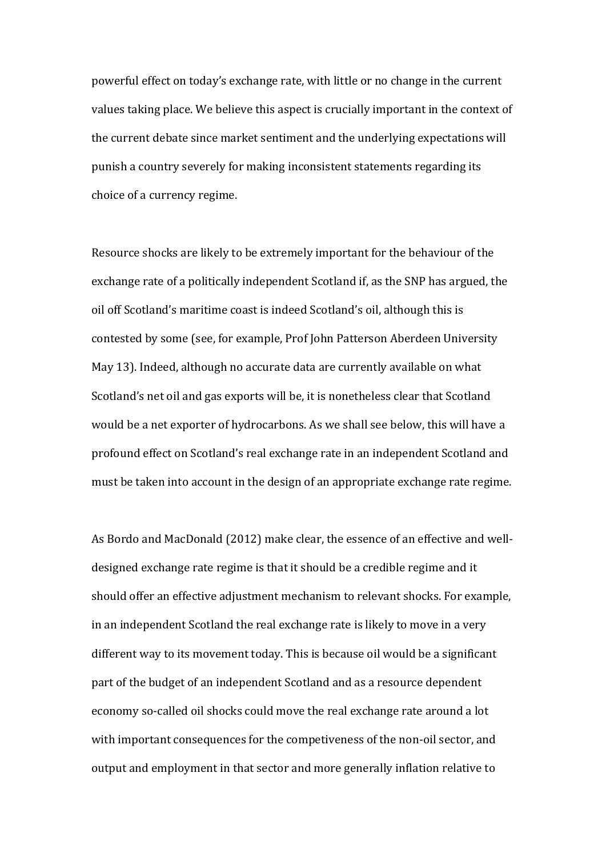powerful effect on today's exchange rate, with little or no change in the current values taking place. We believe this aspect is crucially important in the context of the current debate since market sentiment and the underlying expectations will punish a country severely for making inconsistent statements regarding its choice of a currency regime.

Resource shocks are likely to be extremely important for the behaviour of the exchange rate of a politically independent Scotland if, as the SNP has argued, the oil off Scotland's maritime coast is indeed Scotland's oil, although this is contested by some (see, for example, Prof John Patterson Aberdeen University) May 13). Indeed, although no accurate data are currently available on what Scotland's net oil and gas exports will be, it is nonetheless clear that Scotland would be a net exporter of hydrocarbons. As we shall see below, this will have a profound effect on Scotland's real exchange rate in an independent Scotland and must be taken into account in the design of an appropriate exchange rate regime.

As Bordo and MacDonald (2012) make clear, the essence of an effective and welldesigned exchange rate regime is that it should be a credible regime and it should offer an effective adjustment mechanism to relevant shocks. For example, in an independent Scotland the real exchange rate is likely to move in a very different way to its movement today. This is because oil would be a significant part of the budget of an independent Scotland and as a resource dependent economy so-called oil shocks could move the real exchange rate around a lot with important consequences for the competiveness of the non-oil sector, and output and employment in that sector and more generally inflation relative to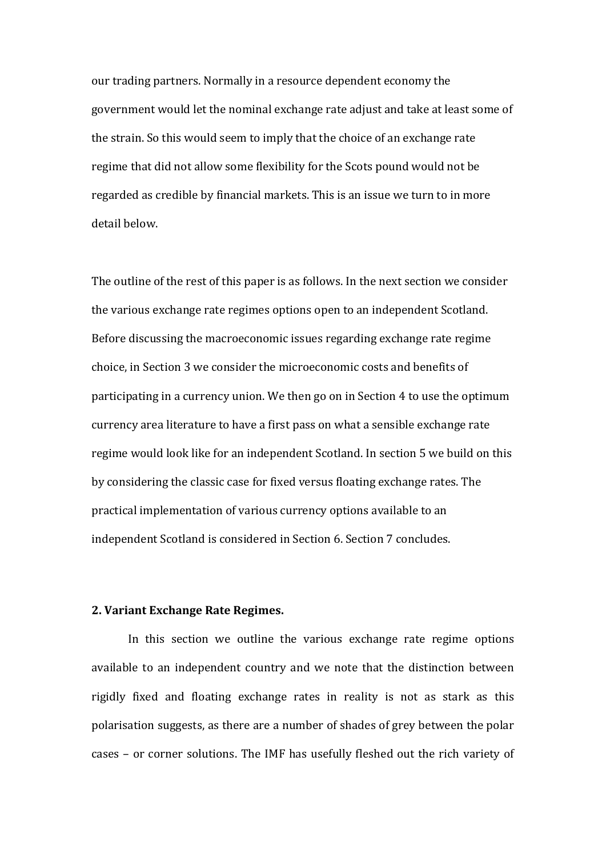our trading partners. Normally in a resource dependent economy the government would let the nominal exchange rate adjust and take at least some of the strain. So this would seem to imply that the choice of an exchange rate regime that did not allow some flexibility for the Scots pound would not be regarded as credible by financial markets. This is an issue we turn to in more detail below.

The outline of the rest of this paper is as follows. In the next section we consider the various exchange rate regimes options open to an independent Scotland. Before discussing the macroeconomic issues regarding exchange rate regime choice, in Section 3 we consider the microeconomic costs and benefits of participating in a currency union. We then go on in Section 4 to use the optimum currency area literature to have a first pass on what a sensible exchange rate regime would look like for an independent Scotland. In section 5 we build on this by considering the classic case for fixed versus floating exchange rates. The practical implementation of various currency options available to an independent Scotland is considered in Section 6. Section 7 concludes.

# **2. Variant Exchange Rate Regimes.**

In this section we outline the various exchange rate regime options' available to an independent country and we note that the distinction between rigidly fixed and floating exchange rates in reality is not as stark as this polarisation's suggests, as there are a number of shades of grey between the polar cases – or corner solutions. The IMF has usefully fleshed out the rich variety of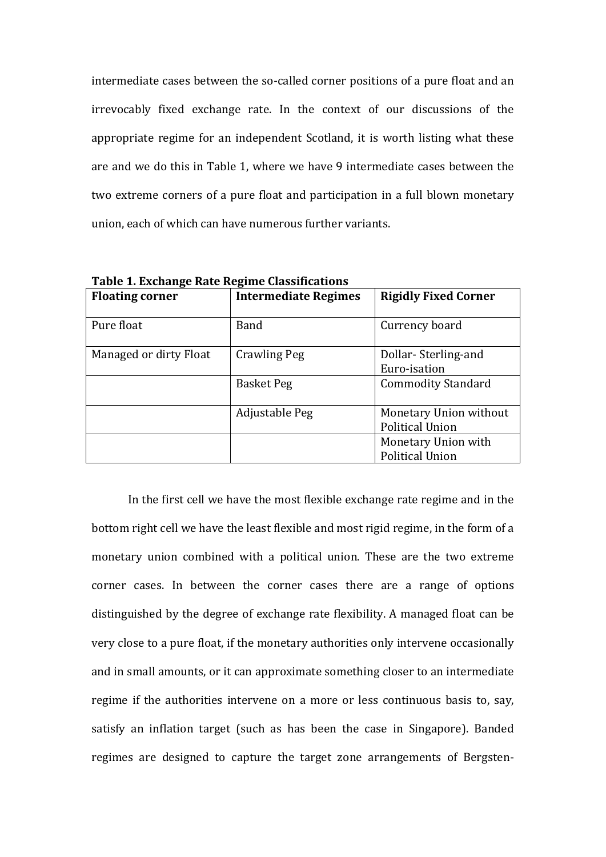intermediate cases between the so-called corner positions of a pure float and an irrevocably fixed exchange rate. In the context of our discussions of the appropriate regime for an independent Scotland, it is worth listing what these are and we do this in Table 1, where we have 9 intermediate cases between the two extreme corners of a pure float and participation in a full blown monetary union, each of which can have numerous further variants.

**Floating corner Intermediate Regimes** Rigidly Fixed Corner Pure float Rand Rand Reflexion Currency board Managed or dirty Float  $\vert$  Crawling Peg  $\vert$  Dollar-Sterling-and Euro-isation Basket Peg commodity Standard Adjustable Peg Monetary Union without Political Union Monetary Union with Political Union

**Table 1. Exchange Rate Regime Classifications** 

In the first cell we have the most flexible exchange rate regime and in the bottom right cell we have the least flexible and most rigid regime, in the form of a monetary union combined with a political union. These are the two extreme corner cases. In between the corner cases there are a range of options distinguished by the degree of exchange rate flexibility. A managed float can be very close to a pure float, if the monetary authorities only intervene occasionally and in small amounts, or it can approximate something closer to an intermediate regime if the authorities intervene on a more or less continuous basis to, say, satisfy an inflation target (such as has been the case in Singapore). Banded regimes are designed to capture the target zone arrangements of Bergsten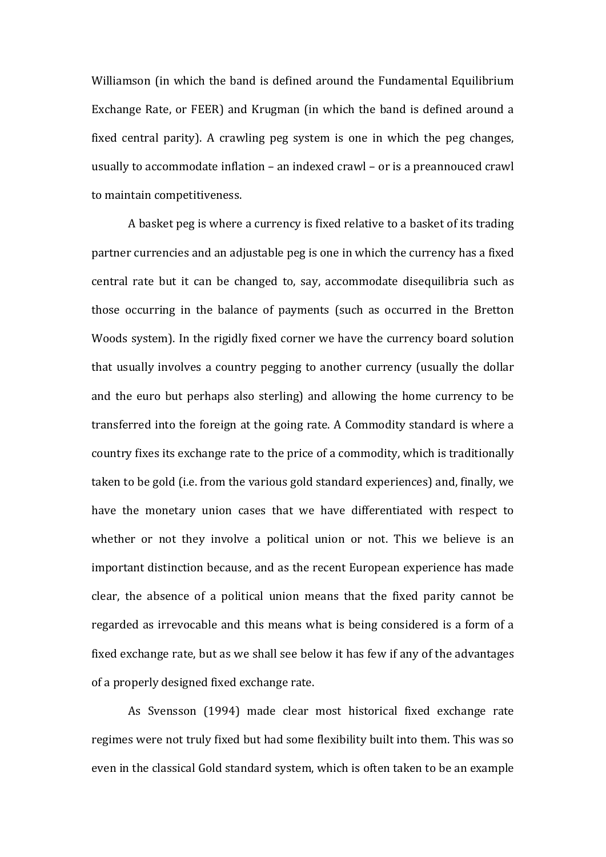Williamson (in which the band is defined around the Fundamental Equilibrium' Exchange Rate, or FEER) and Krugman (in which the band is defined around a fixed central parity). A crawling peg system is one in which the peg changes, usually to accommodate inflation – an indexed crawl – or is a preannouced crawl to maintain competitiveness.

A basket peg is where a currency is fixed relative to a basket of its trading partner currencies and an adjustable peg is one in which the currency has a fixed central rate but it can be changed to, say, accommodate disequilibria such as those occurring in the balance of payments (such as occurred in the Bretton' Woods system). In the rigidly fixed corner we have the currency board solution that usually involves a country pegging to another currency (usually the dollar and the euro but perhaps also sterling) and allowing the home currency to be transferred into the foreign at the going rate. A Commodity standard is where a country fixes its exchange rate to the price of a commodity, which is traditionally taken to be gold (i.e. from the various gold standard experiences) and, finally, we have the monetary union cases that we have differentiated with respect to whether or not they involve a political union or not. This we believe is an important distinction because, and as the recent European experience has made clear, the absence of a political union means that the fixed parity cannot be regarded as irrevocable and this means what is being considered is a form of a fixed exchange rate, but as we shall see below it has few if any of the advantages of a properly designed fixed exchange rate.

As Svensson (1994) made clear most historical fixed exchange rate regimes were not truly fixed but had some flexibility built into them. This was so even in the classical Gold standard system, which is often taken to be an example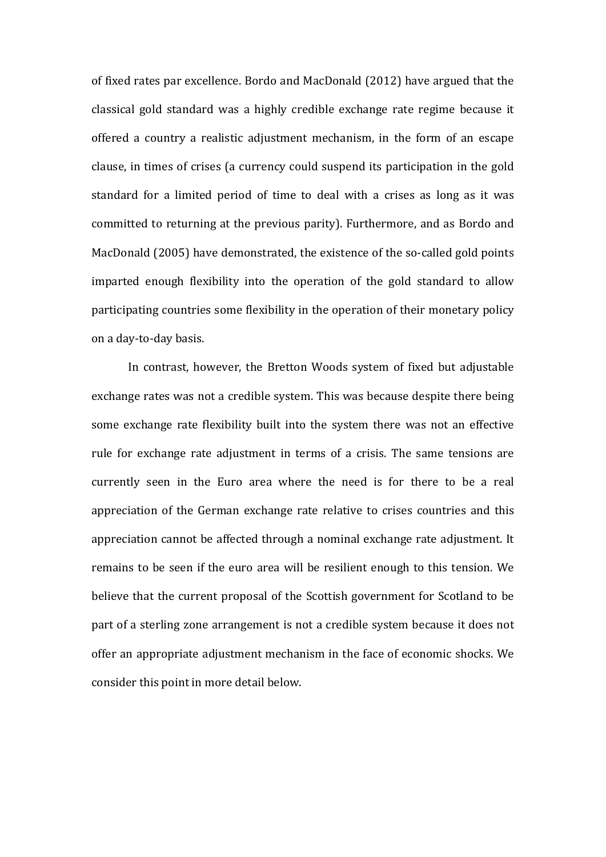of fixed rates par excellence. Bordo and MacDonald (2012) have argued that the classical' gold' standard' was' a' highly' credible' exchange' rate' regime' because' it' offered a country a realistic adjustment mechanism, in the form of an escape clause, in times of crises (a currency could suspend its participation in the gold standard for a limited period of time to deal with a crises as long as it was committed to returning at the previous parity). Furthermore, and as Bordo and MacDonald (2005) have demonstrated, the existence of the so-called gold points imparted enough flexibility into the operation of the gold standard to allow participating countries some flexibility in the operation of their monetary policy on a day-to-day basis.

In contrast, however, the Bretton Woods system of fixed but adjustable exchange rates was not a credible system. This was because despite there being some exchange rate flexibility built into the system there was not an effective rule for exchange rate adjustment in terms of a crisis. The same tensions are currently seen in the Euro area where the need is for there to be a real appreciation of the German exchange rate relative to crises countries and this appreciation cannot be affected through a nominal exchange rate adjustment. It remains to be seen if the euro area will be resilient enough to this tension. We believe that the current proposal of the Scottish government for Scotland to be part of a sterling zone arrangement is not a credible system because it does not offer an appropriate adjustment mechanism in the face of economic shocks. We consider this point in more detail below.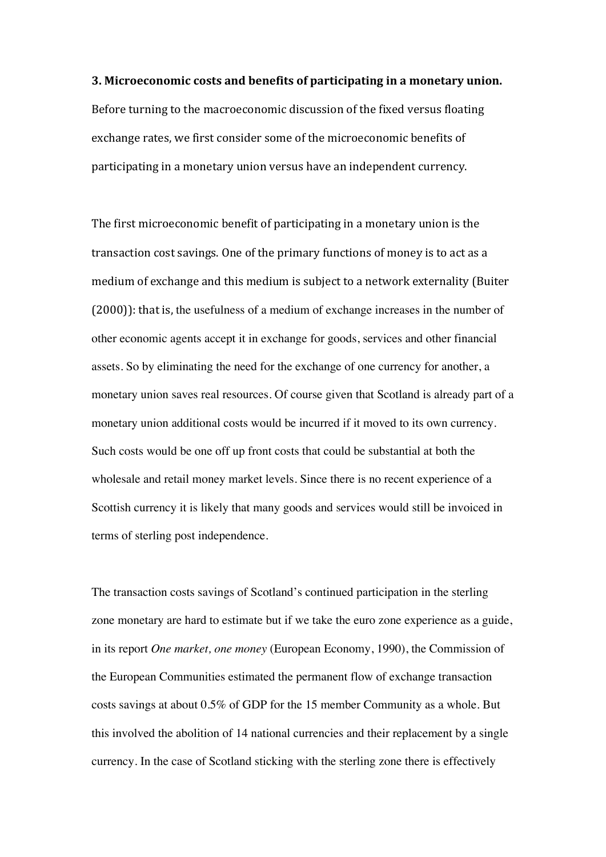#### **3. Microeconomic costs and benefits of participating in a monetary union.**

Before turning to the macroeconomic discussion of the fixed versus floating exchange rates, we first consider some of the microeconomic benefits of participating in a monetary union versus have an independent currency.

The first microeconomic benefit of participating in a monetary union is the transaction cost savings. One of the primary functions of money is to act as a medium of exchange and this medium is subject to a network externality (Buiter)  $(2000)$ : that is, the usefulness of a medium of exchange increases in the number of other economic agents accept it in exchange for goods, services and other financial assets. So by eliminating the need for the exchange of one currency for another, a monetary union saves real resources. Of course given that Scotland is already part of a monetary union additional costs would be incurred if it moved to its own currency. Such costs would be one off up front costs that could be substantial at both the wholesale and retail money market levels. Since there is no recent experience of a Scottish currency it is likely that many goods and services would still be invoiced in terms of sterling post independence.

The transaction costs savings of Scotland's continued participation in the sterling zone monetary are hard to estimate but if we take the euro zone experience as a guide, in its report *One market, one money* (European Economy, 1990), the Commission of the European Communities estimated the permanent flow of exchange transaction costs savings at about 0.5% of GDP for the 15 member Community as a whole. But this involved the abolition of 14 national currencies and their replacement by a single currency. In the case of Scotland sticking with the sterling zone there is effectively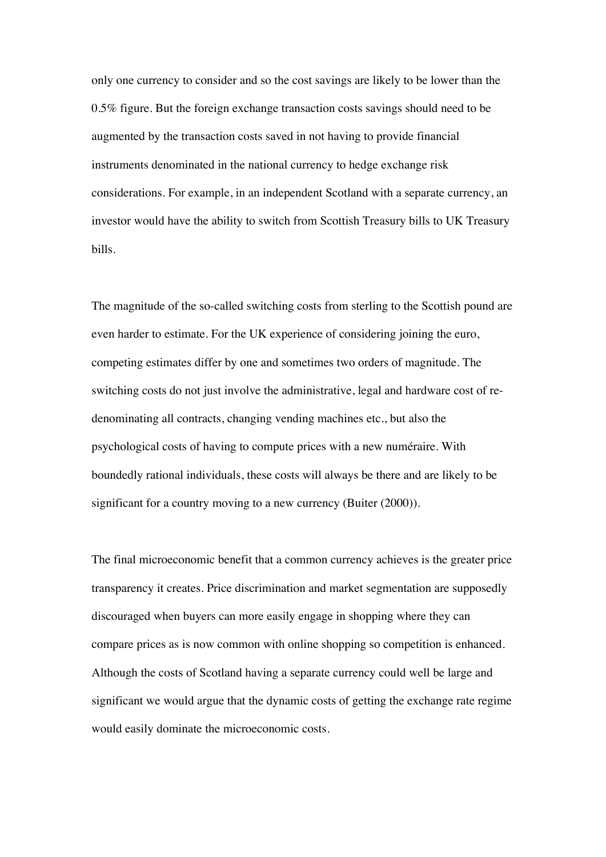only one currency to consider and so the cost savings are likely to be lower than the 0.5% figure. But the foreign exchange transaction costs savings should need to be augmented by the transaction costs saved in not having to provide financial instruments denominated in the national currency to hedge exchange risk considerations. For example, in an independent Scotland with a separate currency, an investor would have the ability to switch from Scottish Treasury bills to UK Treasury bills.

The magnitude of the so-called switching costs from sterling to the Scottish pound are even harder to estimate. For the UK experience of considering joining the euro, competing estimates differ by one and sometimes two orders of magnitude. The switching costs do not just involve the administrative, legal and hardware cost of redenominating all contracts, changing vending machines etc., but also the psychological costs of having to compute prices with a new numéraire. With boundedly rational individuals, these costs will always be there and are likely to be significant for a country moving to a new currency (Buiter (2000)).

The final microeconomic benefit that a common currency achieves is the greater price transparency it creates. Price discrimination and market segmentation are supposedly discouraged when buyers can more easily engage in shopping where they can compare prices as is now common with online shopping so competition is enhanced. Although the costs of Scotland having a separate currency could well be large and significant we would argue that the dynamic costs of getting the exchange rate regime would easily dominate the microeconomic costs.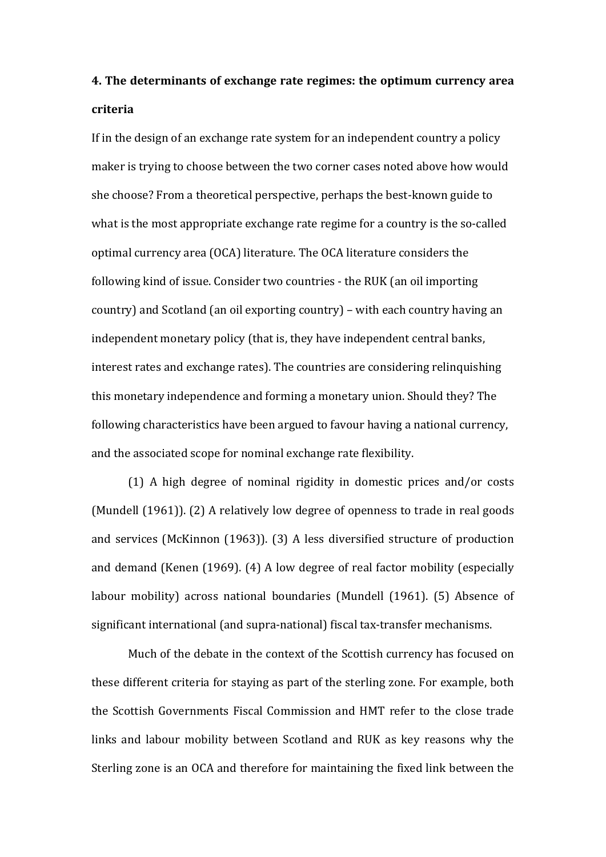# **4. The determinants of exchange rate regimes: the optimum currency area criteria**

If in the design of an exchange rate system for an independent country a policy maker is trying to choose between the two corner cases noted above how would she choose? From a theoretical perspective, perhaps the best-known guide to what is the most appropriate exchange rate regime for a country is the so-called optimal currency area (OCA) literature. The OCA literature considers the following kind of issue. Consider two countries - the RUK (an oil importing) country) and Scotland (an oil exporting country) – with each country having an independent monetary policy (that is, they have independent central banks, interest rates and exchange rates). The countries are considering relinquishing this monetary independence and forming a monetary union. Should they? The following characteristics have been argued to favour having a national currency, and the associated scope for nominal exchange rate flexibility.

 $(1)$  A high degree of nominal rigidity in domestic prices and/or costs (Mundell (1961)). (2) A relatively low degree of openness to trade in real goods and services (McKinnon (1963)). (3) A less diversified structure of production and demand (Kenen (1969). (4) A low degree of real factor mobility (especially labour mobility) across national boundaries (Mundell (1961). (5) Absence of significant international (and supra-national) fiscal tax-transfer mechanisms.

Much of the debate in the context of the Scottish currency has focused on these different criteria for staying as part of the sterling zone. For example, both the Scottish Governments' Fiscal Commission' and HMT refer to the close trade links and labour mobility between Scotland and RUK as key reasons why the Sterling zone is an OCA and therefore for maintaining the fixed link between the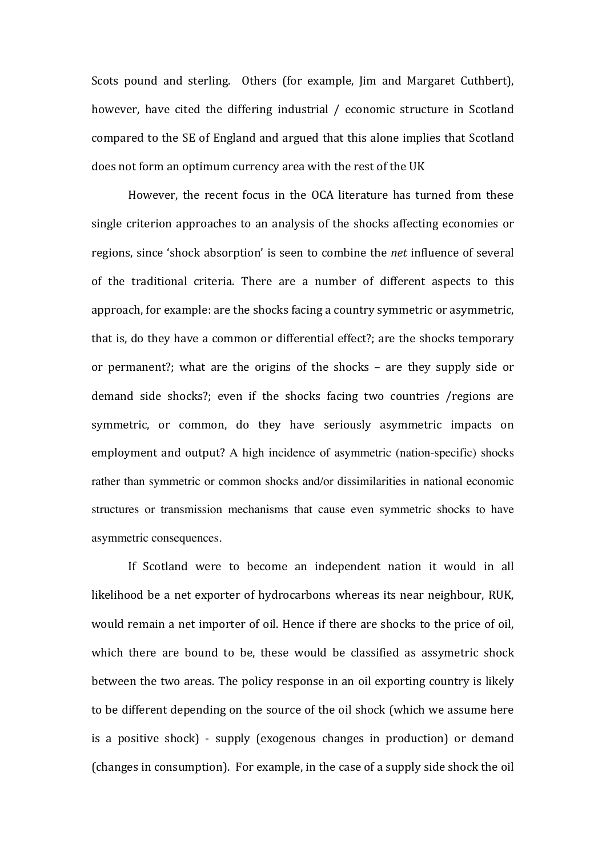Scots pound and sterling. Others (for example, Jim and Margaret Cuthbert), however, have cited the differing industrial / economic structure in Scotland compared to the SE of England and argued that this alone implies that Scotland does not form an optimum currency area with the rest of the UK

However, the recent focus in the OCA literature has turned from these single criterion approaches to an analysis of the shocks affecting economies or regions, since 'shock absorption' is seen to combine the *net* influence of several of the traditional criteria. There are a number of different aspects to this approach, for example: are the shocks facing a country symmetric or asymmetric, that is, do they have a common or differential effect?; are the shocks temporary or permanent?; what are the origins of the shocks – are they supply side or demand side shocks?; even if the shocks facing two countries /regions are symmetric, or common, do they have seriously asymmetric impacts on employment and output? A high incidence of asymmetric (nation-specific) shocks rather than symmetric or common shocks and/or dissimilarities in national economic structures or transmission mechanisms that cause even symmetric shocks to have asymmetric consequences.

If Scotland were to become an independent nation it would in all likelihood be a net exporter of hydrocarbons whereas its near neighbour, RUK, would remain a net importer of oil. Hence if there are shocks to the price of oil, which there are bound to be, these would be classified as assymetric shock between the two areas. The policy response in an oil exporting country is likely to be different depending on the source of the oil shock (which we assume here is a positive shock) - supply (exogenous changes in production) or demand (changes in consumption). For example, in the case of a supply side shock the oil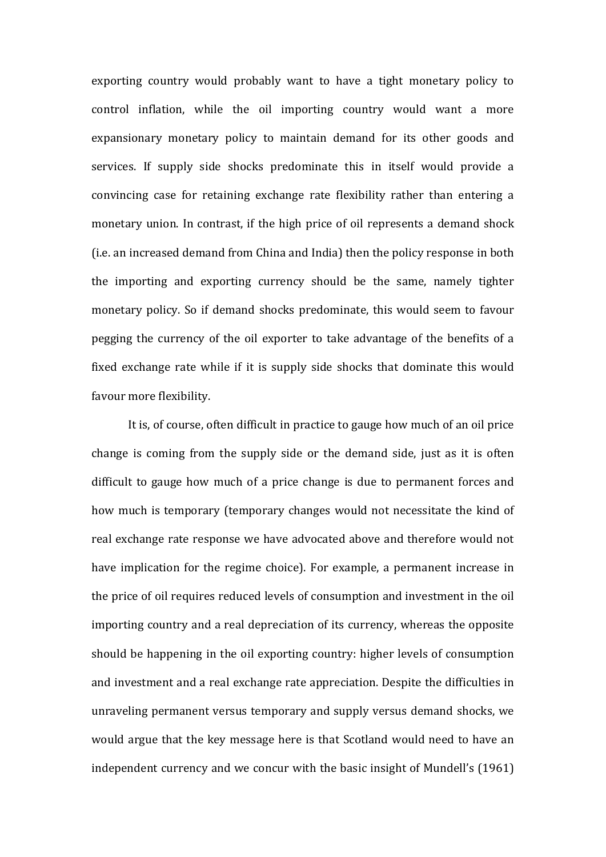exporting country would probably want to have a tight monetary policy to control inflation, while the oil importing country would want a more expansionary monetary policy to maintain demand for its other goods and services. If supply side shocks predominate this in itself would provide a convincing case for retaining exchange rate flexibility rather than entering a monetary union. In contrast, if the high price of oil represents a demand shock (i.e. an increased demand from China and India) then the policy response in both the importing and exporting currency should be the same, namely tighter monetary policy. So if demand shocks predominate, this would seem to favour pegging the currency of the oil exporter to take advantage of the benefits of a fixed exchange rate while if it is supply side shocks that dominate this would favour more flexibility.

It is, of course, often difficult in practice to gauge how much of an oil price change is coming from the supply side or the demand side, just as it is often difficult to gauge how much of a price change is due to permanent forces and how much is temporary (temporary changes would not necessitate the kind of real exchange rate response we have advocated above and therefore would not have implication for the regime choice). For example, a permanent increase in the price of oil requires reduced levels of consumption and investment in the oil importing country and a real depreciation of its currency, whereas the opposite should be happening in the oil exporting country: higher levels of consumption and investment and a real exchange rate appreciation. Despite the difficulties in unraveling permanent versus temporary and supply versus demand shocks, we would argue that the key message here is that Scotland would need to have an independent currency and we concur with the basic insight of Mundell's (1961)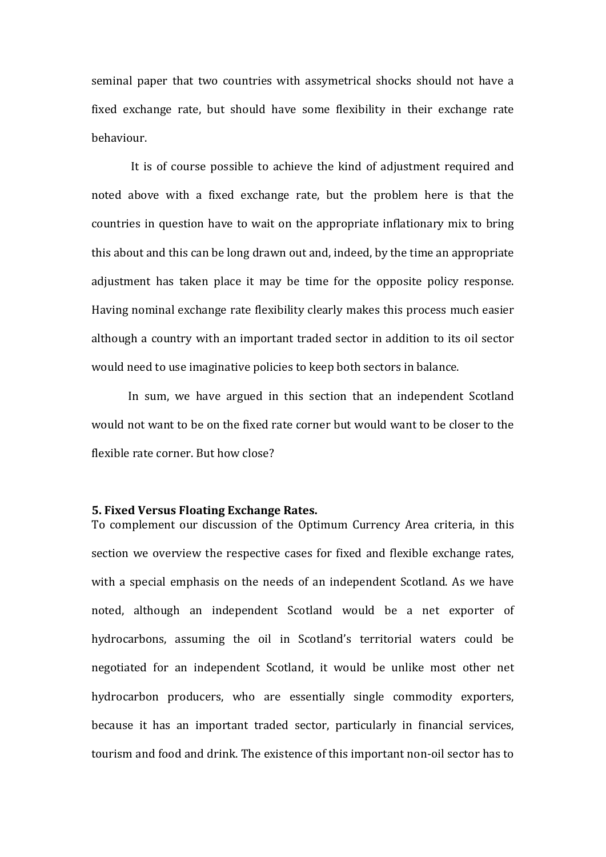seminal paper that two countries with assymetrical shocks should not have a fixed exchange rate, but should have some flexibility in their exchange rate behaviour.'

It is of course possible to achieve the kind of adjustment required and noted above with a fixed exchange rate, but the problem here is that the countries in question have to wait on the appropriate inflationary mix to bring this about and this can be long drawn out and, indeed, by the time an appropriate adjustment has taken place it may be time for the opposite policy response. Having nominal exchange rate flexibility clearly makes this process much easier although a country with an important traded sector in addition to its oil sector would need to use imaginative policies to keep both sectors in balance.

In sum, we have argued in this section that an independent Scotland would'not'want'to'be'on'the'fixed'rate'corner'but'would'want'to'be'closer'to'the' flexible rate corner. But how close?

# **5. Fixed Versus Floating Exchange Rates.**

To complement our discussion of the Optimum Currency Area criteria, in this section' we overview the respective cases for fixed and flexible exchange rates, with a special emphasis on the needs of an independent Scotland. As we have noted, although an independent Scotland would be a net exporter of hydrocarbons, assuming the oil in Scotland's territorial waters could be negotiated for an independent Scotland, it would be unlike most other net hydrocarbon producers, who are essentially single commodity exporters, because it has an important traded sector, particularly in financial services, tourism and food and drink. The existence of this important non-oil sector has to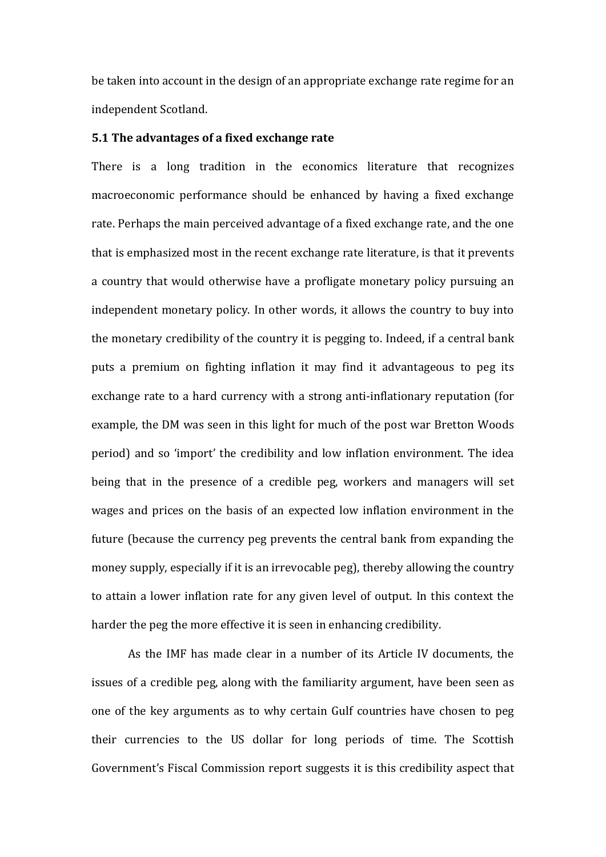be taken into account in the design of an appropriate exchange rate regime for an independent Scotland.

#### **5.1 The advantages of a fixed exchange rate**

There is a long tradition in the economics literature that recognizes macroeconomic performance should be enhanced by having a fixed exchange rate. Perhaps the main perceived advantage of a fixed exchange rate, and the one that is emphasized most in the recent exchange rate literature, is that it prevents a country that would otherwise have a profligate monetary policy pursuing an independent monetary policy. In other words, it allows the country to buy into the monetary credibility of the country it is pegging to. Indeed, if a central bank puts a premium on fighting inflation it may find it advantageous to peg its exchange rate to a hard currency with a strong anti-inflationary reputation (for example, the DM was seen in this light for much of the post war Bretton Woods period) and so 'import' the credibility and low inflation environment. The idea being that in the presence of a credible peg, workers and managers will set wages and prices on the basis of an expected low inflation environment in the future (because the currency peg prevents the central bank from expanding the money supply, especially if it is an irrevocable peg), thereby allowing the country to attain a lower inflation rate for any given level of output. In this context the harder the peg the more effective it is seen in enhancing credibility.

As' the' IMF'has'made' clear'in' a' number' of'its' Article' IV' documents,' the' issues of a credible peg, along with the familiarity argument, have been seen as one of the key arguments as to why certain Gulf countries have chosen to peg their currencies to the US dollar for long periods of time. The Scottish Government's Fiscal Commission report suggests it is this credibility aspect that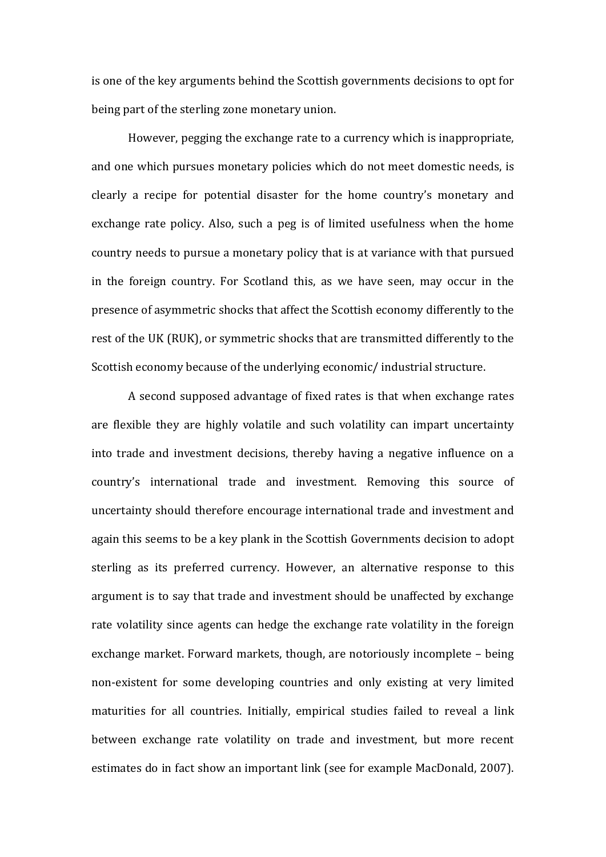is one of the key arguments behind the Scottish governments decisions to opt for being part of the sterling zone monetary union.

However, pegging the exchange rate to a currency which is inappropriate, and one which pursues monetary policies which do not meet domestic needs, is clearly a recipe for potential disaster for the home country's monetary and exchange rate policy. Also, such a peg is of limited usefulness when the home country needs to pursue a monetary policy that is at variance with that pursued in the foreign country. For Scotland this, as we have seen, may occur in the presence'of'asymmetric'shocks'that'affect'the'Scottish'economy'differently'to'the' rest of the UK (RUK), or symmetric shocks that are transmitted differently to the Scottish economy because of the underlying economic/ industrial structure.

A second supposed advantage of fixed rates is that when exchange rates are flexible they are highly volatile and such volatility can impart uncertainty into trade and investment decisions, thereby having a negative influence on a country's international trade and investment. Removing this source of uncertainty'should'therefore'encourage'international'trade'and'investment'and' again this seems to be a key plank in the Scottish Governments decision to adopt sterling as its preferred currency. However, an alternative response to this argument is to say that trade and investment should be unaffected by exchange rate volatility since agents can hedge the exchange rate volatility in the foreign exchange market. Forward markets, though, are notoriously incomplete – being non-existent for some developing countries and only existing at very limited maturities for all countries. Initially, empirical studies failed to reveal a link between exchange rate volatility on trade and investment, but more recent estimates do in fact show an important link (see for example MacDonald, 2007).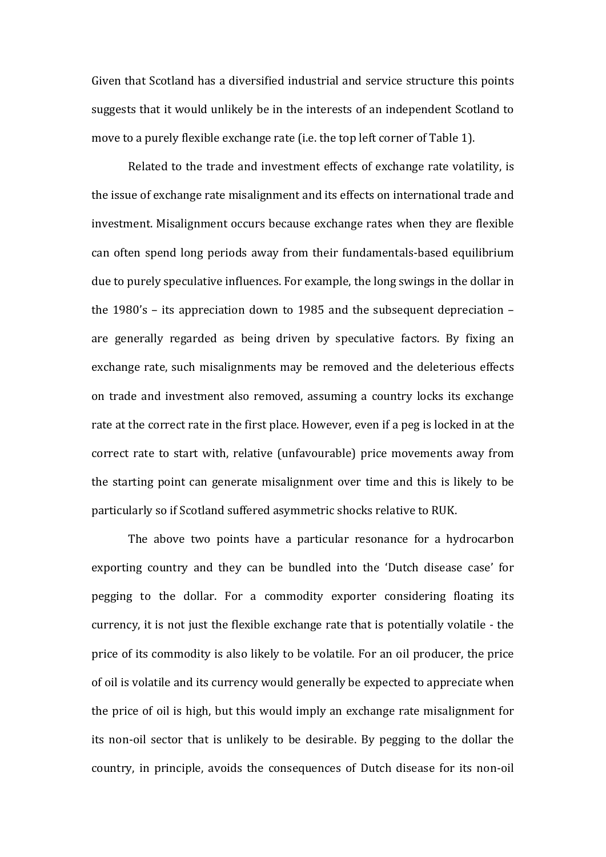Given that Scotland has a diversified industrial and service structure this points suggests that it would unlikely be in the interests of an independent Scotland to move to a purely flexible exchange rate (i.e. the top left corner of Table 1).

Related to the trade and investment effects of exchange rate volatility, is the issue of exchange rate misalignment and its effects on international trade and investment. Misalignment occurs because exchange rates when they are flexible. can often spend long periods away from their fundamentals-based equilibrium due to purely speculative influences. For example, the long swings in the dollar in the  $1980's$  – its appreciation down to 1985 and the subsequent depreciation – are generally regarded as being driven by speculative factors. By fixing an exchange rate, such misalignments may be removed and the deleterious effects on trade and investment also removed, assuming a country locks its exchange rate at the correct rate in the first place. However, even if a peg is locked in at the correct rate to start with, relative (unfavourable) price movements away from the starting point can generate misalignment over time and this is likely to be particularly so if Scotland suffered asymmetric shocks relative to RUK.

The above two points have a particular resonance for a hydrocarbon exporting country and they can be bundled into the 'Dutch disease case' for pegging to the dollar. For a commodity exporter considering floating its currency, it is not just the flexible exchange rate that is potentially volatile - the price of its commodity is also likely to be volatile. For an oil producer, the price of oil is volatile and its currency would generally be expected to appreciate when the price of oil is high, but this would imply an exchange rate misalignment for its non-oil sector that is unlikely to be desirable. By pegging to the dollar the country, in principle, avoids the consequences of Dutch disease for its non-oil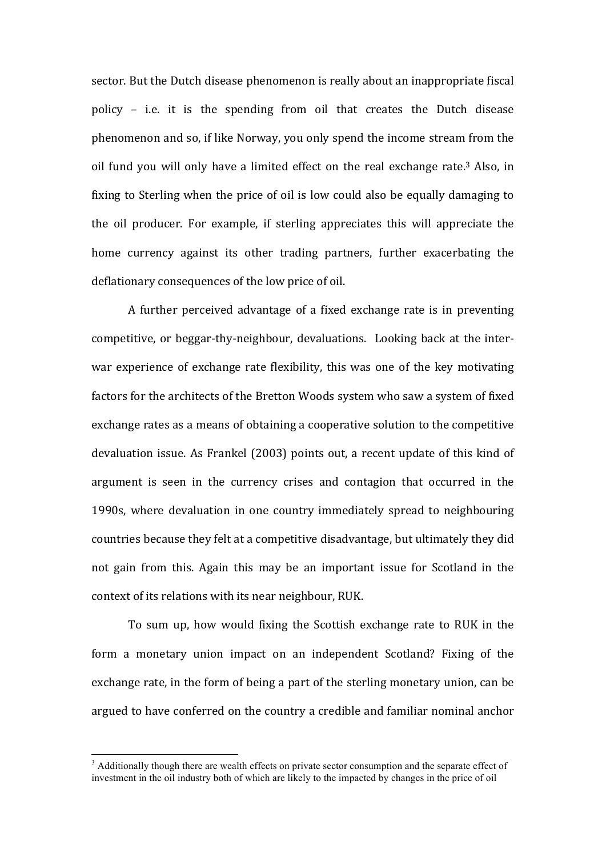sector. But the Dutch disease phenomenon is really about an inappropriate fiscal policy – i.e. it is the spending from oil that creates the Dutch disease phenomenon and so, if like Norway, you only spend the income stream from the oil fund you will only have a limited effect on the real exchange rate.<sup>3</sup> Also, in fixing to Sterling when the price of oil is low could also be equally damaging to the oil producer. For example, if sterling appreciates this will appreciate the home currency against its other trading partners, further exacerbating the deflationary consequences of the low price of oil.

A further perceived advantage of a fixed exchange rate is in preventing competitive, or beggar-thy-neighbour, devaluations. Looking back at the interwar' experience of exchange rate flexibility, this was one of the key motivating factors for the architects of the Bretton Woods system who saw a system of fixed exchange rates as a means of obtaining a cooperative solution to the competitive devaluation issue. As Frankel (2003) points out, a recent update of this kind of argument is seen in the currency crises and contagion that occurred in the 1990s, where devaluation in one country immediately spread to neighbouring countries because they felt at a competitive disadvantage, but ultimately they did not gain from this. Again this may be an important issue for Scotland in the context of its relations with its near neighbour, RUK.

To sum up, how would fixing the Scottish exchange rate to RUK in the form a monetary union impact on an independent Scotland? Fixing of the exchange rate, in the form of being a part of the sterling monetary union, can be argued'to'have'conferred'on'the'country'a'credible'and'familiar'nominal'anchor

<sup>&</sup>lt;sup>3</sup> Additionally though there are wealth effects on private sector consumption and the separate effect of investment in the oil industry both of which are likely to the impacted by changes in the price of oil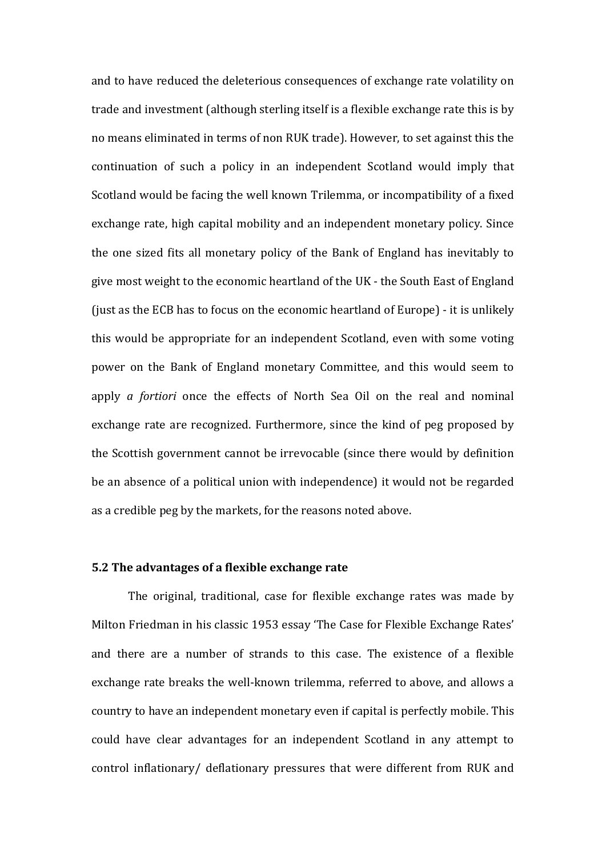and to have reduced the deleterious consequences of exchange rate volatility on trade and investment (although sterling itself is a flexible exchange rate this is by no means eliminated in terms of non RUK trade). However, to set against this the continuation' of' such' a' policy' in' an' independent' Scotland' would' imply' that' Scotland would be facing the well known Trilemma, or incompatibility of a fixed exchange rate, high capital mobility and an independent monetary policy. Since the one sized fits all monetary policy of the Bank of England has inevitably to give most weight to the economic heartland of the UK - the South East of England (just as the ECB has to focus on the economic heartland of Europe) - it is unlikely this would be appropriate for an independent Scotland, even with some voting power on the Bank of England monetary Committee, and this would seem to apply *a fortiori* once the effects of North Sea Oil on the real and nominal exchange rate are recognized. Furthermore, since the kind of peg proposed by the Scottish government cannot be irrevocable (since there would by definition be an absence of a political union with independence) it would not be regarded as a credible peg by the markets, for the reasons noted above.

# **5.2 The advantages of a flexible exchange rate**

The original, traditional, case for flexible exchange rates was made by Milton Friedman in his classic 1953 essay 'The Case for Flexible Exchange Rates' and there are a number of strands to this case. The existence of a flexible exchange rate breaks the well-known trilemma, referred to above, and allows a country'to'have'an'independent'monetary'even'if'capital'is'perfectly'mobile.'This' could have clear advantages for an independent Scotland in any attempt to control' inflationary/' deflationary' pressures' that' were' different' from' RUK' and'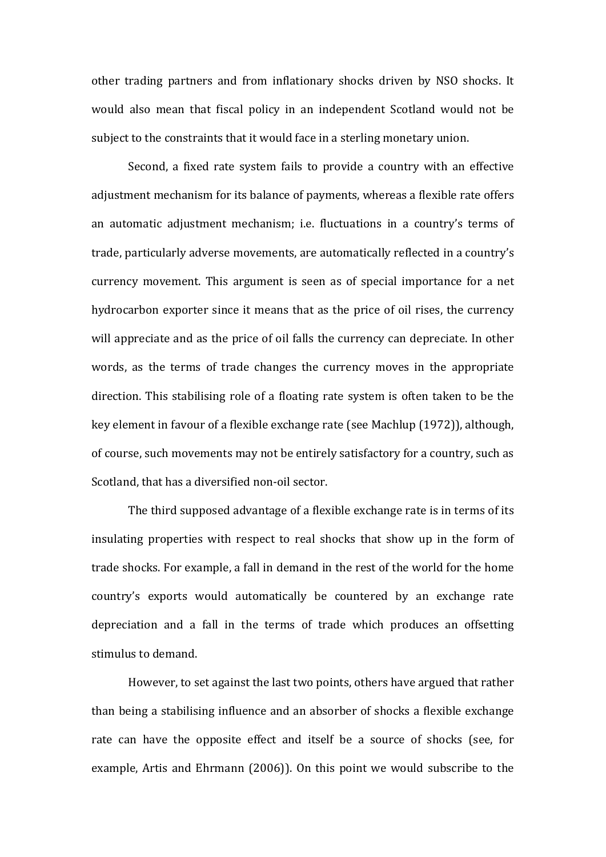other trading partners and from inflationary shocks driven by NSO shocks. It would' also' mean' that' fiscal' policy' in' an' independent' Scotland' would' not' be' subject to the constraints that it would face in a sterling monetary union.

Second, a fixed rate system fails to provide a country with an effective adjustment mechanism for its balance of payments, whereas a flexible rate offers an' automatic adjustment mechanism; i.e. fluctuations in a country's terms of trade, particularly adverse movements, are automatically reflected in a country's currency' movement.' This' argument' is' seen' as' of' special' importance' for' a' net' hydrocarbon exporter since it means that as the price of oil rises, the currency will appreciate and as the price of oil falls the currency can depreciate. In other words, as the terms of trade changes the currency moves in the appropriate direction. This stabilising role of a floating rate system is often taken to be the key element in favour of a flexible exchange rate (see Machlup (1972)), although, of course, such movements may not be entirely satisfactory for a country, such as Scotland, that has a diversified non-oil sector.

The third supposed advantage of a flexible exchange rate is in terms of its insulating properties with respect to real shocks that show up in the form of trade shocks. For example, a fall in demand in the rest of the world for the home country's exports would automatically be countered by an exchange rate depreciation and a fall in the terms of trade which produces an offsetting stimulus to demand.

However, to set against the last two points, others have argued that rather than being a stabilising influence and an absorber of shocks a flexible exchange rate can have the opposite effect and itself be a source of shocks (see, for example, Artis and Ehrmann (2006)). On this point we would subscribe to the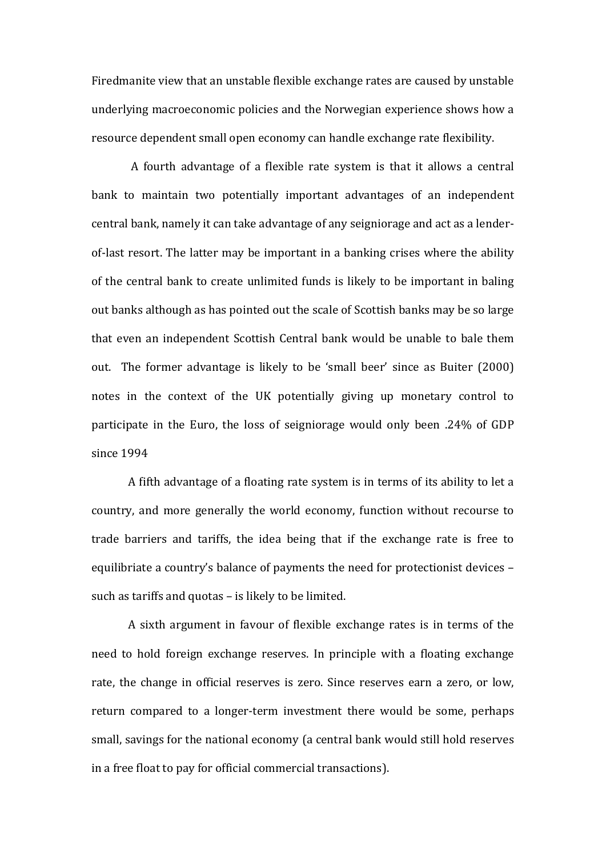Firedmanite view that an unstable flexible exchange rates are caused by unstable underlying macroeconomic policies and the Norwegian experience shows how a resource dependent small open economy can handle exchange rate flexibility.

A fourth advantage of a flexible rate system is that it allows a central bank to maintain two potentially important advantages of an independent central bank, namely it can take advantage of any seigniorage and act as a lenderof-last resort. The latter may be important in a banking crises where the ability of the central bank to create unlimited funds is likely to be important in baling out banks although as has pointed out the scale of Scottish banks may be so large that even an independent Scottish Central bank would be unable to bale them out. The former advantage is likely to be 'small beer' since as Buiter (2000) notes in the context of the UK potentially giving up monetary control to participate in the Euro, the loss of seigniorage would only been .24% of GDP since 1994

A fifth advantage of a floating rate system is in terms of its ability to let a country, and more generally the world economy, function without recourse to trade barriers and tariffs, the idea being that if the exchange rate is free to equilibriate a country's balance of payments the need for protectionist devices such as tariffs and quotas – is likely to be limited.

A sixth argument in favour of flexible exchange rates is in terms of the need to hold foreign exchange reserves. In principle with a floating exchange rate, the change in official reserves is zero. Since reserves earn a zero, or low, return' compared to a longer-term investment there would be some, perhaps small, savings for the national economy (a central bank would still hold reserves in a free float to pay for official commercial transactions).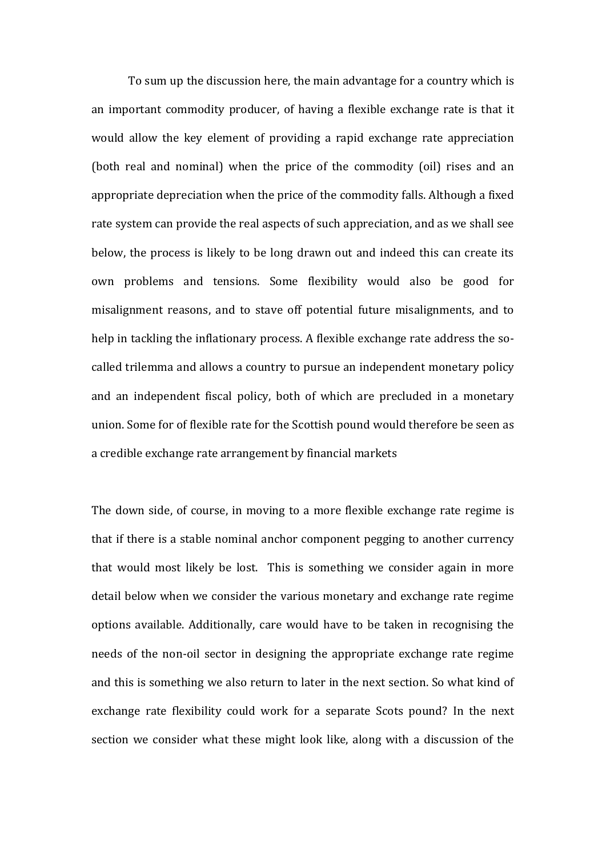To sum up the discussion here, the main advantage for a country which is an important commodity producer, of having a flexible exchange rate is that it would allow the key element of providing a rapid exchange rate appreciation (both real and nominal) when the price of the commodity (oil) rises and an appropriate depreciation when the price of the commodity falls. Although a fixed rate system can provide the real aspects of such appreciation, and as we shall see below, the process is likely to be long drawn out and indeed this can create its own problems and tensions. Some flexibility would also be good for misalignment reasons, and to stave off potential future misalignments, and to help in tackling the inflationary process. A flexible exchange rate address the socalled trilemma and allows a country to pursue an independent monetary policy and an independent fiscal policy, both of which are precluded in a monetary union. Some for of flexible rate for the Scottish pound would therefore be seen as a credible exchange rate arrangement by financial markets

The down side, of course, in moving to a more flexible exchange rate regime is that if there is a stable nominal anchor component pegging to another currency that would most likely be lost. This is something we consider again in more detail below when we consider the various monetary and exchange rate regime options available. Additionally, care would have to be taken in recognising the needs of the non-oil sector in designing the appropriate exchange rate regime and this is something we also return to later in the next section. So what kind of exchange rate flexibility could work for a separate Scots pound? In the next section we consider what these might look like, along with a discussion of the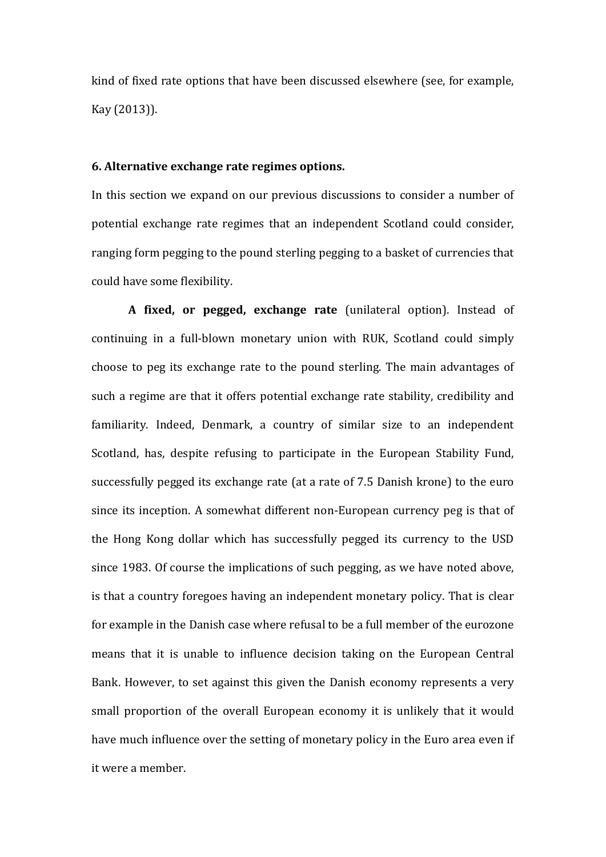kind of fixed rate options that have been discussed elsewhere (see, for example, Kay (2013)).

# **6. Alternative exchange rate regimes options.**

In this section we expand on our previous discussions to consider a number of potential exchange rate regimes that an independent Scotland could consider, ranging form pegging to the pound sterling pegging to a basket of currencies that could have some flexibility.

**A fixed, or pegged, exchange rate** (unilateral option). Instead of continuing in a full-blown monetary union with RUK, Scotland could simply choose to peg its exchange rate to the pound sterling. The main advantages of such a regime are that it offers potential exchange rate stability, credibility and familiarity. Indeed, Denmark, a country of similar size to an independent Scotland, has, despite refusing to participate in the European Stability Fund, successfully pegged its exchange rate (at a rate of 7.5 Danish krone) to the euro since its inception. A somewhat different non-European currency peg is that of the Hong Kong dollar which has successfully pegged its currency to the USD since 1983. Of course the implications of such pegging, as we have noted above, is that a country foregoes having an independent monetary policy. That is clear for example in the Danish case where refusal to be a full member of the eurozone means that it is unable to influence decision taking on the European Central Bank. However, to set against this given the Danish economy represents a very small' proportion' of the overall' European' economy it is unlikely that it would have much influence over the setting of monetary policy in the Euro area even if it were a member.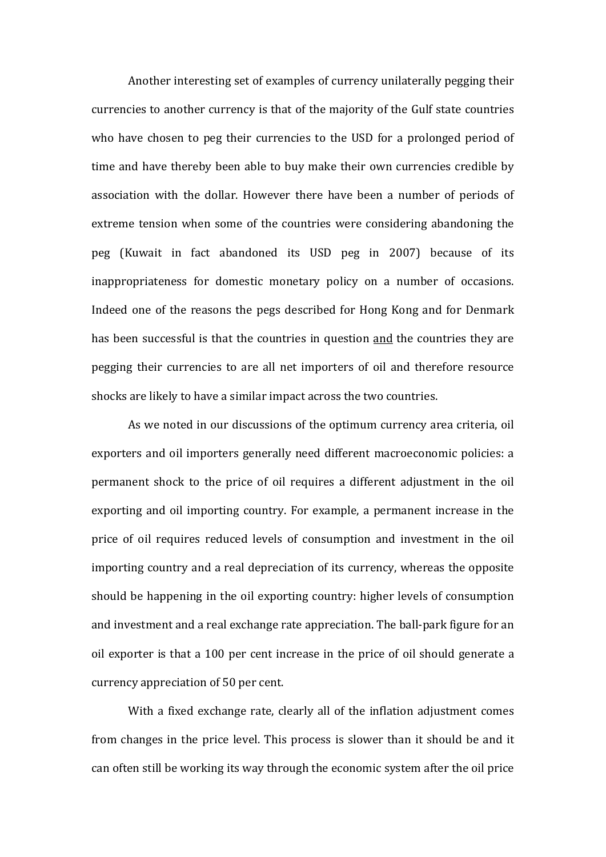Another interesting set of examples of currency unilaterally pegging their currencies to another currency is that of the majority of the Gulf state countries who have chosen to peg their currencies to the USD for a prolonged period of time and have thereby been able to buy make their own currencies credible by association with the dollar. However there have been a number of periods of extreme tension when some of the countries were considering abandoning the peg (Kuwait in fact abandoned its USD peg in 2007) because of its inappropriateness for domestic monetary policy on a number of occasions. Indeed one of the reasons the pegs described for Hong Kong and for Denmark has been successful is that the countries in question and the countries they are pegging their currencies to are all net importers of oil and therefore resource shocks are likely to have a similar impact across the two countries.

As we noted in our discussions of the optimum currency area criteria, oil exporters and oil importers generally need different macroeconomic policies: a permanent shock to the price of oil requires a different adjustment in the oil exporting and oil importing country. For example, a permanent increase in the price of oil requires reduced levels of consumption and investment in the oil importing country and a real depreciation of its currency, whereas the opposite should be happening in the oil exporting country: higher levels of consumption and investment and a real exchange rate appreciation. The ball-park figure for an oil exporter is that a 100 per cent increase in the price of oil should generate a currency appreciation of 50 per cent.

With a fixed exchange rate, clearly all of the inflation adjustment comes from changes in the price level. This process is slower than it should be and it can often still be working its way through the economic system after the oil price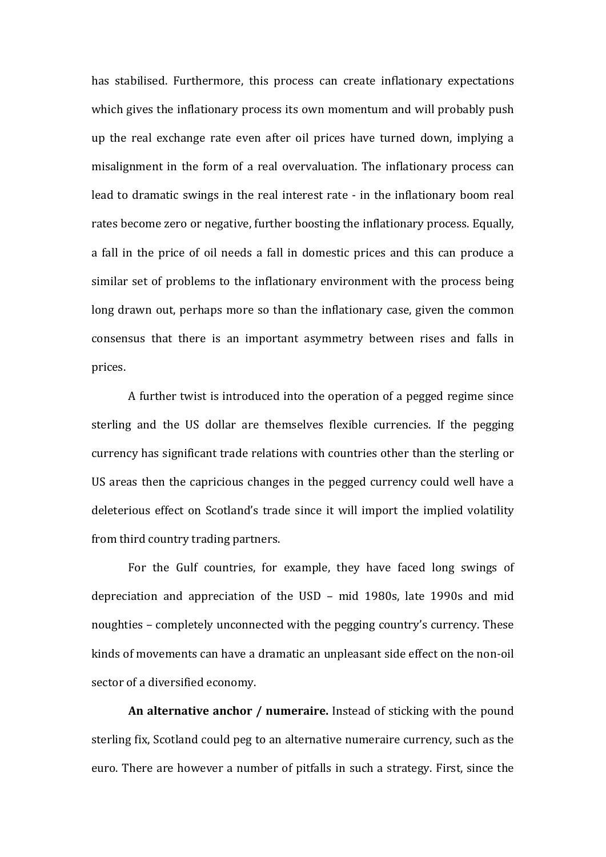has stabilised. Furthermore, this process can create inflationary expectations which gives the inflationary process its own momentum and will probably push up the real exchange rate even after oil prices have turned down, implying a misalignment in the form of a real overvaluation. The inflationary process can lead to dramatic swings in the real interest rate - in the inflationary boom real rates become zero or negative, further boosting the inflationary process. Equally, a fall in the price of oil needs a fall in domestic prices and this can produce a similar' set of problems to the inflationary environment with the process being long drawn out, perhaps more so than the inflationary case, given the common consensus that there is an important asymmetry between rises and falls in prices.

A further twist is introduced into the operation of a pegged regime since sterling and the US dollar are themselves flexible currencies. If the pegging currency has significant trade relations with countries other than the sterling or US areas then the capricious changes in the pegged currency could well have a deleterious effect on Scotland's trade since it will import the implied volatility from third country trading partners.

For the Gulf countries, for example, they have faced long swings of depreciation and appreciation of the USD – mid 1980s, late 1990s and mid noughties – completely unconnected with the pegging country's currency. These kinds of movements can have a dramatic an unpleasant side effect on the non-oil sector of a diversified economy.

**An alternative anchor / numeraire.** Instead of sticking with the pound sterling fix, Scotland could peg to an alternative numeraire currency, such as the euro. There are however a number of pitfalls in such a strategy. First, since the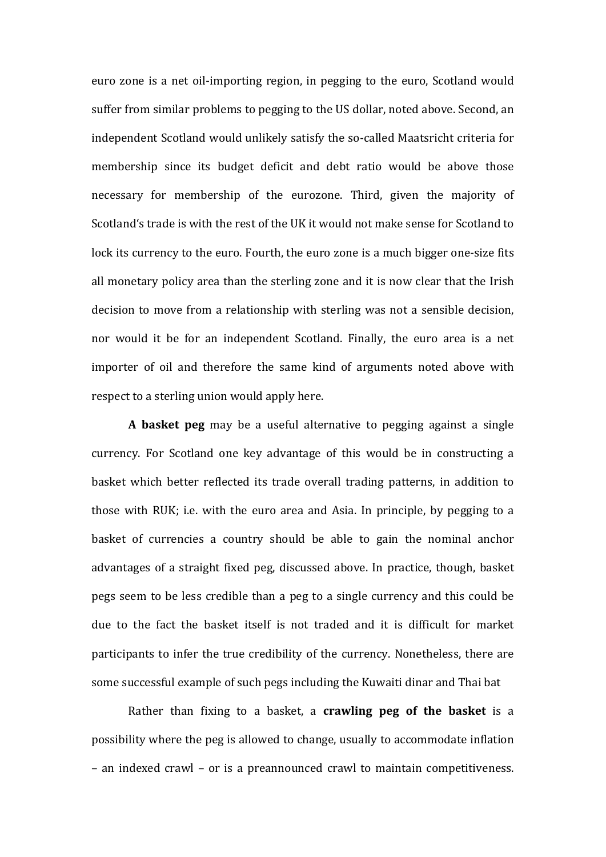euro zone is a net oil-importing region, in pegging to the euro, Scotland would suffer from similar problems to pegging to the US dollar, noted above. Second, an independent Scotland would unlikely satisfy the so-called Maatsricht criteria for membership since its budget deficit and debt ratio would be above those necessary for membership of the eurozone. Third, given the majority of Scotland's trade is with the rest of the UK it would not make sense for Scotland to lock its currency to the euro. Fourth, the euro zone is a much bigger one-size fits all monetary policy area than the sterling zone and it is now clear that the Irish decision to move from a relationship with sterling was not a sensible decision, nor would it be for an independent Scotland. Finally, the euro area is a net importer of oil and therefore the same kind of arguments noted above with respect to a sterling union would apply here.

A **basket peg** may be a useful alternative to pegging against a single currency.' For' Scotland' one' key' advantage' of' this' would' be' in' constructing' a' basket which better reflected its trade overall trading patterns, in addition to those with RUK; i.e. with the euro area and Asia. In principle, by pegging to a basket of currencies a country should be able to gain the nominal anchor advantages of a straight fixed peg, discussed above. In practice, though, basket pegs'seem' to'be'less'credible' than'a'peg' to'a'single'currency'and' this'could'be' due to the fact the basket itself is not traded and it is difficult for market participants to infer the true credibility of the currency. Nonetheless, there are some successful example of such pegs including the Kuwaiti dinar and Thai bat

Rather than fixing to a basket, a **crawling peg of the basket** is a possibility where the peg is allowed to change, usually to accommodate inflation  $-$  an indexed crawl – or is a preannounced crawl to maintain competitiveness.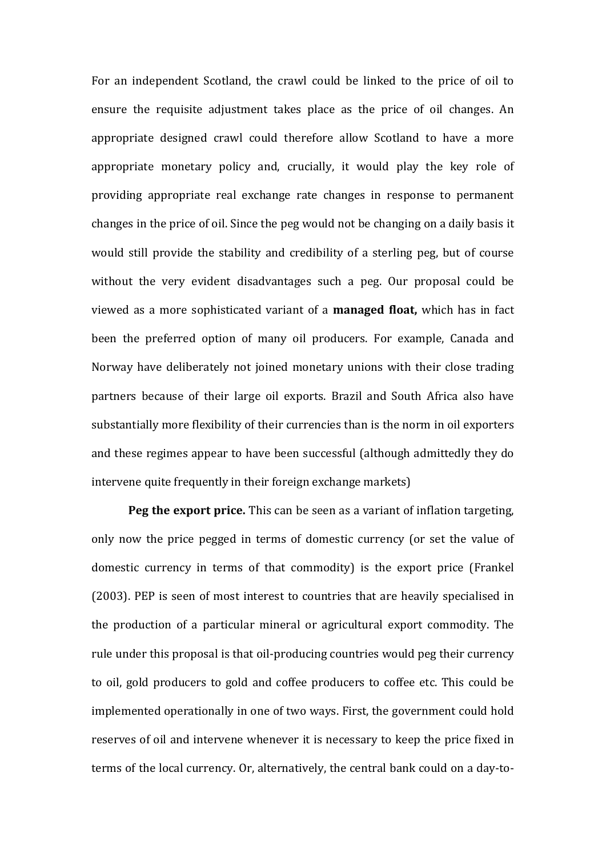For an independent Scotland, the crawl could be linked to the price of oil to ensure the requisite adjustment takes place as the price of oil changes. An appropriate designed crawl could therefore allow Scotland to have a more appropriate monetary policy and, crucially, it would play the key role of providing' appropriate' real' exchange' rate' changes' in' response' to' permanent' changes in the price of oil. Since the peg would not be changing on a daily basis it would still provide the stability and credibility of a sterling peg, but of course without the very evident disadvantages such a peg. Our proposal could be viewed as a more sophisticated variant of a **managed float**, which has in fact been the preferred option of many oil producers. For example, Canada and Norway have deliberately not joined monetary unions with their close trading partners because of their large oil exports. Brazil and South Africa also have substantially more flexibility of their currencies than is the norm in oil exporters and these regimes appear to have been successful (although admittedly they do intervene quite frequently in their foreign exchange markets)

**Peg the export price.** This can be seen as a variant of inflation targeting, only now the price pegged in terms of domestic currency (or set the value of) domestic currency in terms of that commodity) is the export price (Frankel (2003). PEP is seen of most interest to countries that are heavily specialised in the production of a particular mineral or agricultural export commodity. The rule under this proposal is that oil-producing countries would peg their currency to oil, gold producers to gold and coffee producers to coffee etc. This could be implemented operationally in one of two ways. First, the government could hold reserves of oil and intervene whenever it is necessary to keep the price fixed in terms of the local currency. Or, alternatively, the central bank could on a day-to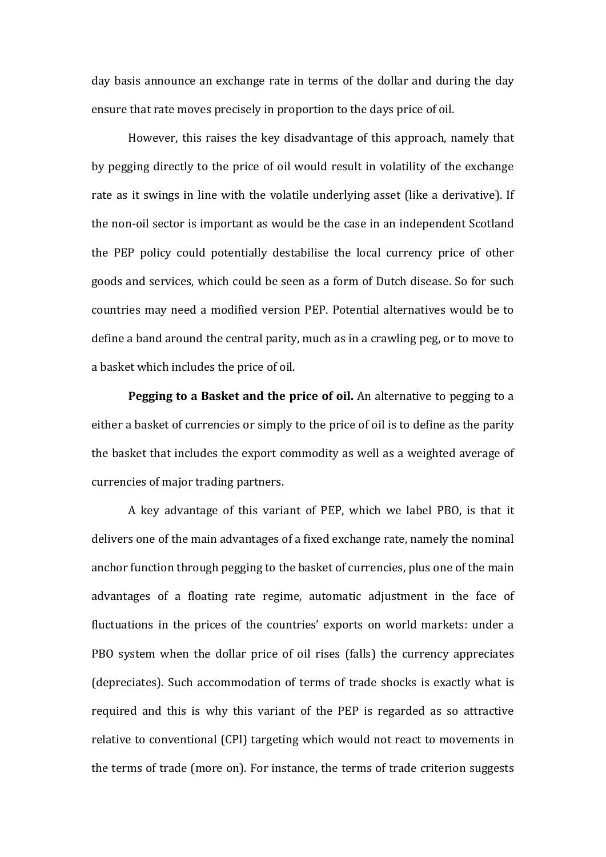day basis announce an exchange rate in terms of the dollar and during the day ensure that rate moves precisely in proportion to the days price of oil.

However, this raises the key disadvantage of this approach, namely that by pegging directly to the price of oil would result in volatility of the exchange rate as it swings in line with the volatile underlying asset (like a derivative). If the non-oil sector is important as would be the case in an independent Scotland the PEP policy could potentially destabilise the local currency price of other goods and services, which could be seen as a form of Dutch disease. So for such countries'may' need'a'modified' version' PEP.' Potential'alternatives'would' be' to' define a band around the central parity, much as in a crawling peg, or to move to a basket which includes the price of oil.

**Pegging to a Basket and the price of oil.** An alternative to pegging to a either a basket of currencies or simply to the price of oil is to define as the parity the basket that includes the export commodity as well as a weighted average of currencies of major trading partners.

A key advantage of this variant of PEP, which we label PBO, is that it delivers one of the main advantages of a fixed exchange rate, namely the nominal anchor function through pegging to the basket of currencies, plus one of the main advantages of a floating rate regime, automatic adjustment in the face of fluctuations in the prices of the countries' exports on world markets: under a PBO system when the dollar price of oil rises (falls) the currency appreciates (depreciates). Such accommodation of terms of trade shocks is exactly what is required and this is why this variant of the PEP is regarded as so attractive relative to conventional (CPI) targeting which would not react to movements in the terms of trade (more on). For instance, the terms of trade criterion suggests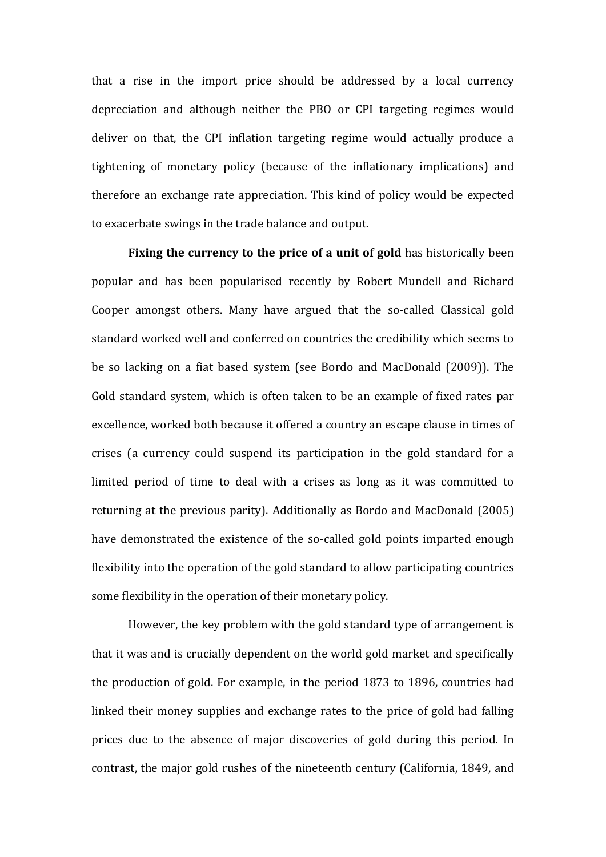that a rise in the import price should be addressed by a local currency depreciation and although neither the PBO or CPI targeting regimes would deliver on that, the CPI inflation targeting regime would actually produce a tightening of monetary policy (because of the inflationary implications) and therefore an exchange rate appreciation. This kind of policy would be expected to exacerbate swings in the trade balance and output.

**Fixing the currency to the price of a unit of gold** has historically been popular' and' has' been' popularised' recently' by' Robert' Mundell' and' Richard' Cooper amongst others. Many have argued that the so-called Classical gold standard'worked'well'and'conferred'on'countries'the'credibility'which'seems'to' be so lacking on a fiat based system (see Bordo and MacDonald (2009)). The Gold standard system, which is often taken to be an example of fixed rates par excellence, worked both because it offered a country an escape clause in times of crises (a currency could suspend its participation in the gold standard for a limited period of time to deal with a crises as long as it was committed to returning at the previous parity). Additionally as Bordo and MacDonald (2005) have demonstrated the existence of the so-called gold points imparted enough flexibility into the operation of the gold standard to allow participating countries some flexibility in the operation of their monetary policy.

However, the key problem with the gold standard type of arrangement is that it was and is crucially dependent on the world gold market and specifically the production of gold. For example, in the period 1873 to 1896, countries had linked their money supplies and exchange rates to the price of gold had falling prices due to the absence of major discoveries of gold during this period. In contrast, the major gold rushes of the nineteenth century (California, 1849, and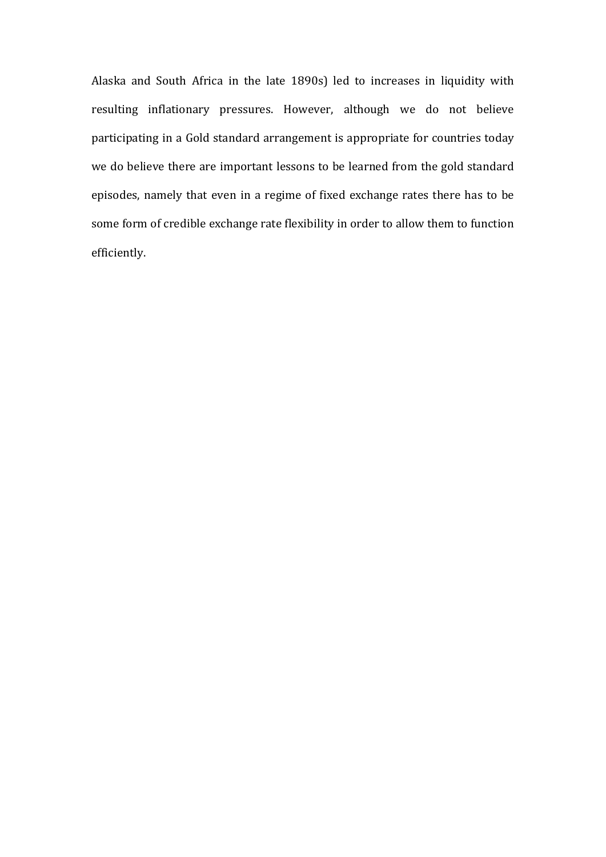Alaska and South Africa in the late 1890s) led to increases in liquidity with resulting inflationary pressures. However, although we do not believe participating in a Gold standard arrangement is appropriate for countries today we do believe there are important lessons to be learned from the gold standard episodes, namely that even in a regime of fixed exchange rates there has to be some form of credible exchange rate flexibility in order to allow them to function efficiently.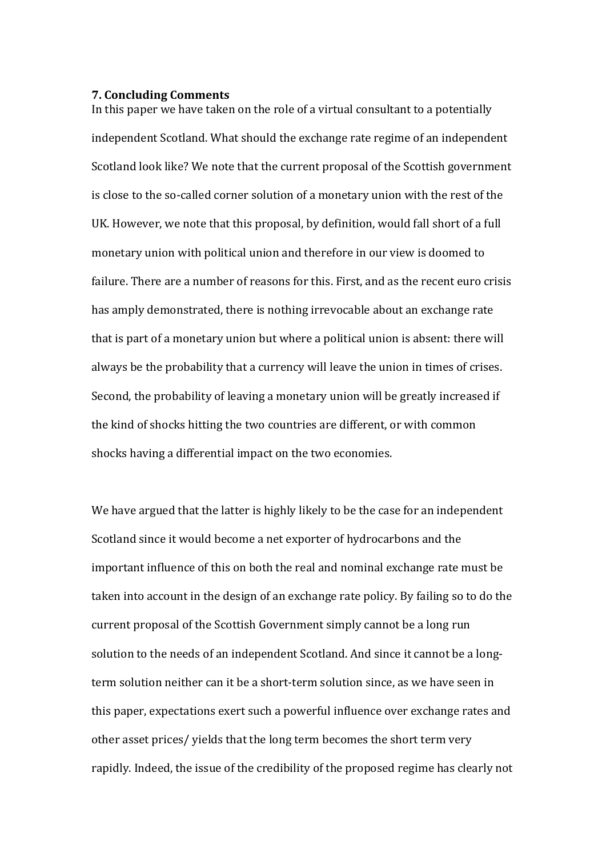# **7. Concluding Comments**

In this paper we have taken on the role of a virtual consultant to a potentially independent Scotland. What should the exchange rate regime of an independent Scotland look like? We note that the current proposal of the Scottish government is close to the so-called corner solution of a monetary union with the rest of the UK. However, we note that this proposal, by definition, would fall short of a full monetary union with political union and therefore in our view is doomed to failure. There are a number of reasons for this. First, and as the recent euro crisis has amply demonstrated, there is nothing irrevocable about an exchange rate that is part of a monetary union but where a political union is absent: there will always be the probability that a currency will leave the union in times of crises. Second, the probability of leaving a monetary union will be greatly increased if the kind of shocks hitting the two countries are different, or with common shocks having a differential impact on the two economies.

We have argued that the latter is highly likely to be the case for an independent Scotland since it would become a net exporter of hydrocarbons and the important influence of this on both the real and nominal exchange rate must be taken into account in the design of an exchange rate policy. By failing so to do the current proposal of the Scottish Government simply cannot be a long run solution to the needs of an independent Scotland. And since it cannot be a longterm solution neither can it be a short-term solution since, as we have seen in this paper, expectations exert such a powerful influence over exchange rates and other asset prices/ yields that the long term becomes the short term very rapidly. Indeed, the issue of the credibility of the proposed regime has clearly not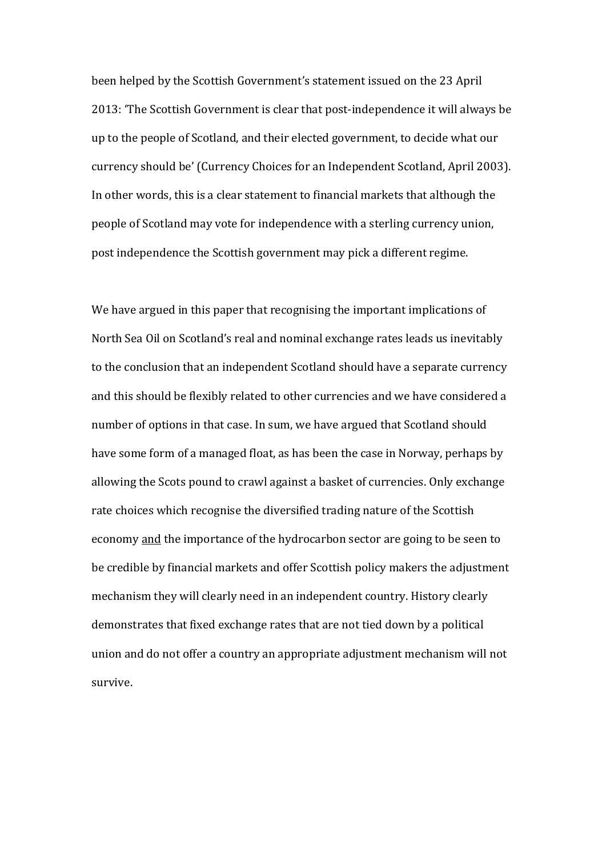been helped by the Scottish Government's statement issued on the 23 April 2013: 'The Scottish Government is clear that post-independence it will always be up to the people of Scotland, and their elected government, to decide what our currency should be' (Currency Choices for an Independent Scotland, April 2003). In other words, this is a clear statement to financial markets that although the people of Scotland may vote for independence with a sterling currency union, post independence the Scottish government may pick a different regime.

We have argued in this paper that recognising the important implications of North Sea Oil on Scotland's real and nominal exchange rates leads us inevitably to the conclusion that an independent Scotland should have a separate currency and this should be flexibly related to other currencies and we have considered a number of options in that case. In sum, we have argued that Scotland should have some form of a managed float, as has been the case in Norway, perhaps by allowing the Scots pound to crawl against a basket of currencies. Only exchange rate choices which recognise the diversified trading nature of the Scottish economy and the importance of the hydrocarbon sector are going to be seen to be credible by financial markets and offer Scottish policy makers the adjustment mechanism they will clearly need in an independent country. History clearly demonstrates that fixed exchange rates that are not tied down by a political union'and'do'not'offer'a'country'an'appropriate'adjustment'mechanism'will'not' survive.'